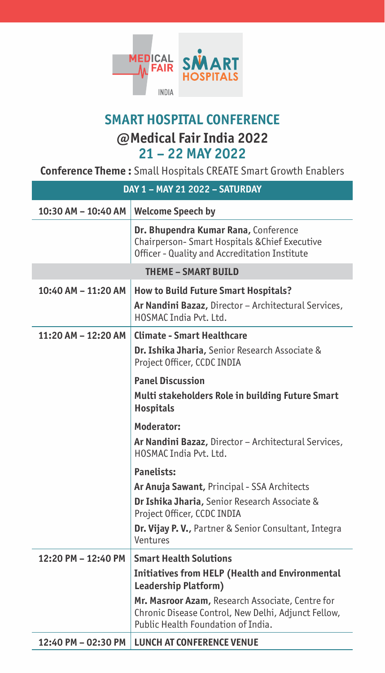

## **@Medical Fair India 2022 21 – 22 MAY 2022 SMART HOSPITAL CONFERENCE**

**Conference Theme :** Small Hospitals CREATE Smart Growth Enablers

| DAY 1 - MAY 21 2022 - SATURDAY |                                                                                                                                               |
|--------------------------------|-----------------------------------------------------------------------------------------------------------------------------------------------|
| 10:30 AM - 10:40 AM            | <b>Welcome Speech by</b>                                                                                                                      |
|                                | Dr. Bhupendra Kumar Rana, Conference<br>Chairperson-Smart Hospitals & Chief Executive<br>Officer - Quality and Accreditation Institute        |
| <b>THEME - SMART BUILD</b>     |                                                                                                                                               |
| 10:40 AM - 11:20 AM            | <b>How to Build Future Smart Hospitals?</b>                                                                                                   |
|                                | Ar Nandini Bazaz, Director - Architectural Services,<br>HOSMAC India Pvt. Itd.                                                                |
| 11:20 AM - 12:20 AM            | <b>Climate - Smart Healthcare</b>                                                                                                             |
|                                | Dr. Ishika Jharia, Senior Research Associate &<br>Project Officer, CCDC INDIA                                                                 |
|                                | <b>Panel Discussion</b>                                                                                                                       |
|                                | Multi stakeholders Role in building Future Smart<br><b>Hospitals</b>                                                                          |
|                                | Moderator:                                                                                                                                    |
|                                | Ar Nandini Bazaz, Director - Architectural Services,<br>HOSMAC India Pvt. Ltd.                                                                |
|                                | <b>Panelists:</b>                                                                                                                             |
|                                | Ar Anuja Sawant, Principal - SSA Architects                                                                                                   |
|                                | Dr Ishika Jharia, Senior Research Associate &<br>Project Officer, CCDC INDIA                                                                  |
|                                | <b>Dr. Vijay P. V., Partner &amp; Senior Consultant, Integra</b><br>Ventures                                                                  |
| 12:20 PM - 12:40 PM            | <b>Smart Health Solutions</b>                                                                                                                 |
|                                | <b>Initiatives from HELP (Health and Environmental</b><br>Leadership Platform)                                                                |
|                                | Mr. Masroor Azam, Research Associate, Centre for<br>Chronic Disease Control, New Delhi, Adjunct Fellow,<br>Public Health Foundation of India. |
| 12:40 PM - 02:30 PM            | <b>LUNCH AT CONFERENCE VENUE</b>                                                                                                              |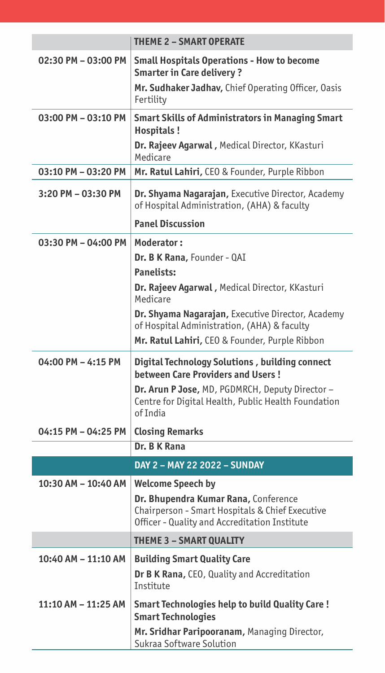| 02:30 PM - 03:00 PM<br><b>Small Hospitals Operations - How to become</b><br><b>Smarter in Care delivery?</b><br>Mr. Sudhaker Jadhav, Chief Operating Officer, Oasis<br>Fertility<br>03:00 PM - 03:10 PM<br><b>Smart Skills of Administrators in Managing Smart</b><br>Hospitals!<br>Dr. Rajeev Agarwal, Medical Director, KKasturi<br>Medicare<br>03:10 PM - 03:20 PM<br>Mr. Ratul Lahiri, CEO & Founder, Purple Ribbon<br>Dr. Shyama Nagarajan, Executive Director, Academy<br>3:20 PM - 03:30 PM<br>of Hospital Administration, (AHA) & faculty<br><b>Panel Discussion</b><br>03:30 PM - 04:00 PM<br>Moderator:<br>Dr. B K Rana, Founder - QAI<br><b>Panelists:</b><br>Dr. Rajeev Agarwal, Medical Director, KKasturi<br>Medicare<br>Dr. Shyama Nagarajan, Executive Director, Academy<br>of Hospital Administration, (AHA) & faculty<br>Mr. Ratul Lahiri, CEO & Founder, Purple Ribbon<br>04:00 PM - 4:15 PM<br>Digital Technology Solutions, building connect<br>between Care Providers and Users!<br>Dr. Arun P Jose, MD, PGDMRCH, Deputy Director -<br>Centre for Digital Health, Public Health Foundation<br>of India<br>04:15 PM - 04:25 PM<br><b>Closing Remarks</b><br>Dr. B K Rana |  |
|-----------------------------------------------------------------------------------------------------------------------------------------------------------------------------------------------------------------------------------------------------------------------------------------------------------------------------------------------------------------------------------------------------------------------------------------------------------------------------------------------------------------------------------------------------------------------------------------------------------------------------------------------------------------------------------------------------------------------------------------------------------------------------------------------------------------------------------------------------------------------------------------------------------------------------------------------------------------------------------------------------------------------------------------------------------------------------------------------------------------------------------------------------------------------------------------------|--|
|                                                                                                                                                                                                                                                                                                                                                                                                                                                                                                                                                                                                                                                                                                                                                                                                                                                                                                                                                                                                                                                                                                                                                                                               |  |
|                                                                                                                                                                                                                                                                                                                                                                                                                                                                                                                                                                                                                                                                                                                                                                                                                                                                                                                                                                                                                                                                                                                                                                                               |  |
|                                                                                                                                                                                                                                                                                                                                                                                                                                                                                                                                                                                                                                                                                                                                                                                                                                                                                                                                                                                                                                                                                                                                                                                               |  |
|                                                                                                                                                                                                                                                                                                                                                                                                                                                                                                                                                                                                                                                                                                                                                                                                                                                                                                                                                                                                                                                                                                                                                                                               |  |
|                                                                                                                                                                                                                                                                                                                                                                                                                                                                                                                                                                                                                                                                                                                                                                                                                                                                                                                                                                                                                                                                                                                                                                                               |  |
|                                                                                                                                                                                                                                                                                                                                                                                                                                                                                                                                                                                                                                                                                                                                                                                                                                                                                                                                                                                                                                                                                                                                                                                               |  |
|                                                                                                                                                                                                                                                                                                                                                                                                                                                                                                                                                                                                                                                                                                                                                                                                                                                                                                                                                                                                                                                                                                                                                                                               |  |
|                                                                                                                                                                                                                                                                                                                                                                                                                                                                                                                                                                                                                                                                                                                                                                                                                                                                                                                                                                                                                                                                                                                                                                                               |  |
|                                                                                                                                                                                                                                                                                                                                                                                                                                                                                                                                                                                                                                                                                                                                                                                                                                                                                                                                                                                                                                                                                                                                                                                               |  |
|                                                                                                                                                                                                                                                                                                                                                                                                                                                                                                                                                                                                                                                                                                                                                                                                                                                                                                                                                                                                                                                                                                                                                                                               |  |
|                                                                                                                                                                                                                                                                                                                                                                                                                                                                                                                                                                                                                                                                                                                                                                                                                                                                                                                                                                                                                                                                                                                                                                                               |  |
|                                                                                                                                                                                                                                                                                                                                                                                                                                                                                                                                                                                                                                                                                                                                                                                                                                                                                                                                                                                                                                                                                                                                                                                               |  |
| DAY 2 - MAY 22 2022 - SUNDAY                                                                                                                                                                                                                                                                                                                                                                                                                                                                                                                                                                                                                                                                                                                                                                                                                                                                                                                                                                                                                                                                                                                                                                  |  |
| 10:30 AM - 10:40 AM<br><b>Welcome Speech by</b><br>Dr. Bhupendra Kumar Rana, Conference<br>Chairperson - Smart Hospitals & Chief Executive<br>Officer - Quality and Accreditation Institute                                                                                                                                                                                                                                                                                                                                                                                                                                                                                                                                                                                                                                                                                                                                                                                                                                                                                                                                                                                                   |  |
| THEME 3 - SMART QUALITY                                                                                                                                                                                                                                                                                                                                                                                                                                                                                                                                                                                                                                                                                                                                                                                                                                                                                                                                                                                                                                                                                                                                                                       |  |
| 10:40 AM - 11:10 AM<br><b>Building Smart Quality Care</b><br>Dr B K Rana, CEO, Quality and Accreditation<br><b>Institute</b>                                                                                                                                                                                                                                                                                                                                                                                                                                                                                                                                                                                                                                                                                                                                                                                                                                                                                                                                                                                                                                                                  |  |
| 11:10 AM - 11:25 AM<br>Smart Technologies help to build Quality Care!<br><b>Smart Technologies</b><br>Mr. Sridhar Paripooranam, Managing Director,<br>Sukraa Software Solution                                                                                                                                                                                                                                                                                                                                                                                                                                                                                                                                                                                                                                                                                                                                                                                                                                                                                                                                                                                                                |  |